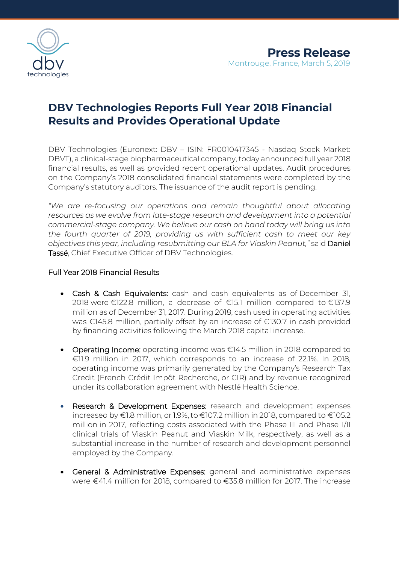

# **DBV Technologies Reports Full Year 2018 Financial Results and Provides Operational Update**

DBV Technologies (Euronext: DBV – ISIN: FR0010417345 - Nasdaq Stock Market: DBVT), a clinical-stage biopharmaceutical company, today announced full year 2018 financial results, as well as provided recent operational updates. Audit procedures on the Company's 2018 consolidated financial statements were completed by the Company's statutory auditors. The issuance of the audit report is pending.

*"We are re-focusing our operations and remain thoughtful about allocating resources as we evolve from late-stage research and development into a potential commercial-stage company. We believe our cash on hand today will bring us into the fourth quarter of 2019, providing us with sufficient cash to meet our key objectives this year, including resubmitting our BLA for Viaskin Peanut,"* said Daniel Tassé, Chief Executive Officer of DBV Technologies.

### Full Year 2018 Financial Results

- Cash & Cash Equivalents: cash and cash equivalents as of December 31, 2018 were €122.8 million, a decrease of €15.1 million compared to €137.9 million as of December 31, 2017. During 2018, cash used in operating activities was €145.8 million, partially offset by an increase of €130.7 in cash provided by financing activities following the March 2018 capital increase.
- Operating Income: operating income was €14.5 million in 2018 compared to €11.9 million in 2017, which corresponds to an increase of 22.1%. In 2018, operating income was primarily generated by the Company's Research Tax Credit (French Crédit Impôt Recherche, or CIR) and by revenue recognized under its collaboration agreement with Nestlé Health Science.
- Research & Development Expenses: research and development expenses increased by €1.8 million, or 1.9%, to €107.2 million in 2018, compared to €105.2 million in 2017, reflecting costs associated with the Phase III and Phase I/II clinical trials of Viaskin Peanut and Viaskin Milk, respectively, as well as a substantial increase in the number of research and development personnel employed by the Company.
- General & Administrative Expenses: general and administrative expenses were €41.4 million for 2018, compared to €35.8 million for 2017. The increase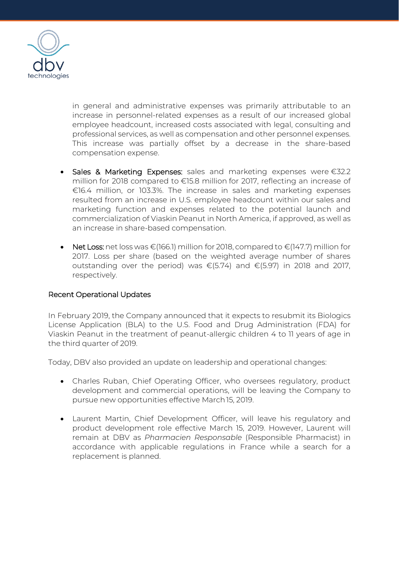

in general and administrative expenses was primarily attributable to an increase in personnel-related expenses as a result of our increased global employee headcount, increased costs associated with legal, consulting and professional services, as well as compensation and other personnel expenses. This increase was partially offset by a decrease in the share-based compensation expense.

- Sales & Marketing Expenses: sales and marketing expenses were €32.2 million for 2018 compared to €15.8 million for 2017, reflecting an increase of €16.4 million, or 103.3%. The increase in sales and marketing expenses resulted from an increase in U.S. employee headcount within our sales and marketing function and expenses related to the potential launch and commercialization of Viaskin Peanut in North America, if approved, as well as an increase in share-based compensation.
- Net Loss: net loss was €(166.1) million for 2018, compared to €(147.7) million for 2017. Loss per share (based on the weighted average number of shares outstanding over the period) was €(5.74) and €(5.97) in 2018 and 2017, respectively.

### Recent Operational Updates

In February 2019, the Company announced that it expects to resubmit its Biologics License Application (BLA) to the U.S. Food and Drug Administration (FDA) for Viaskin Peanut in the treatment of peanut-allergic children 4 to 11 years of age in the third quarter of 2019.

Today, DBV also provided an update on leadership and operational changes:

- Charles Ruban, Chief Operating Officer, who oversees regulatory, product development and commercial operations, will be leaving the Company to pursue new opportunities effective March15, 2019.
- Laurent Martin, Chief Development Officer, will leave his regulatory and product development role effective March 15, 2019. However, Laurent will remain at DBV as *Pharmacien Responsable* (Responsible Pharmacist) in accordance with applicable regulations in France while a search for a replacement is planned.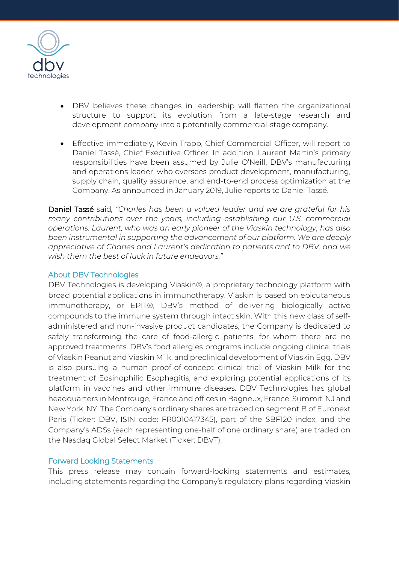

- DBV believes these changes in leadership will flatten the organizational structure to support its evolution from a late-stage research and development company into a potentially commercial-stage company.
- Effective immediately, Kevin Trapp, Chief Commercial Officer, will report to Daniel Tassé, Chief Executive Officer. In addition, Laurent Martin's primary responsibilities have been assumed by Julie O'Neill, DBV's manufacturing and operations leader, who oversees product development, manufacturing, supply chain, quality assurance, and end-to-end process optimization at the Company. As announced in January 2019, Julie reports to Daniel Tassé.

Daniel Tassé said*, "Charles has been a valued leader and we are grateful for his many contributions over the years, including establishing our U.S. commercial operations. Laurent, who was an early pioneer of the Viaskin technology, has also been instrumental in supporting the advancement of our platform. We are deeply appreciative of Charles and Laurent's dedication to patients and to DBV, and we wish them the best of luck in future endeavors."*

### About DBV Technologies

DBV Technologies is developing Viaskin®, a proprietary technology platform with broad potential applications in immunotherapy. Viaskin is based on epicutaneous immunotherapy, or EPIT®, DBV's method of delivering biologically active compounds to the immune system through intact skin. With this new class of selfadministered and non-invasive product candidates, the Company is dedicated to safely transforming the care of food-allergic patients, for whom there are no approved treatments. DBV's food allergies programs include ongoing clinical trials of Viaskin Peanut and Viaskin Milk, and preclinical development of Viaskin Egg. DBV is also pursuing a human proof-of-concept clinical trial of Viaskin Milk for the treatment of Eosinophilic Esophagitis, and exploring potential applications of its platform in vaccines and other immune diseases. DBV Technologies has global headquarters in Montrouge, France and offices in Bagneux, France, Summit, NJ and New York, NY. The Company's ordinary shares are traded on segment B of Euronext Paris (Ticker: DBV, ISIN code: FR0010417345), part of the SBF120 index, and the Company's ADSs (each representing one-half of one ordinary share) are traded on the Nasdaq Global Select Market (Ticker: DBVT).

### Forward Looking Statements

This press release may contain forward-looking statements and estimates, including statements regarding the Company's regulatory plans regarding Viaskin